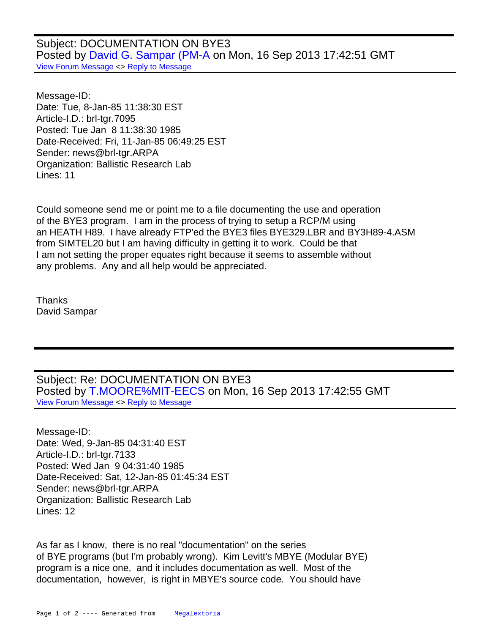Subject: DOCUMENTATION ON BYE3 Posted by [David G. Sampar \(PM-A](http://www.megalextoria.com/forum2/index.php?t=usrinfo&id=13353) on Mon, 16 Sep 2013 17:42:51 GMT [View Forum Message](http://www.megalextoria.com/forum2/index.php?t=rview&th=46087&goto=112301#msg_112301) <> [Reply to Message](http://www.megalextoria.com/forum2/index.php?t=post&reply_to=112301)

Message-ID: Date: Tue, 8-Jan-85 11:38:30 EST Article-I.D.: brl-tgr.7095 Posted: Tue Jan 8 11:38:30 1985 Date-Received: Fri, 11-Jan-85 06:49:25 EST Sender: news@brl-tgr.ARPA Organization: Ballistic Research Lab Lines: 11

Could someone send me or point me to a file documenting the use and operation of the BYE3 program. I am in the process of trying to setup a RCP/M using an HEATH H89. I have already FTP'ed the BYE3 files BYE329.LBR and BY3H89-4.ASM from SIMTEL20 but I am having difficulty in getting it to work. Could be that I am not setting the proper equates right because it seems to assemble without any problems. Any and all help would be appreciated.

Thanks David Sampar

Subject: Re: DOCUMENTATION ON BYE3 Posted by [T.MOORE%MIT-EECS](http://www.megalextoria.com/forum2/index.php?t=usrinfo&id=6491) on Mon, 16 Sep 2013 17:42:55 GMT [View Forum Message](http://www.megalextoria.com/forum2/index.php?t=rview&th=46087&goto=112310#msg_112310) <> [Reply to Message](http://www.megalextoria.com/forum2/index.php?t=post&reply_to=112310)

Message-ID: Date: Wed, 9-Jan-85 04:31:40 EST Article-I.D.: brl-tgr.7133 Posted: Wed Jan 9 04:31:40 1985 Date-Received: Sat, 12-Jan-85 01:45:34 EST Sender: news@brl-tgr.ARPA Organization: Ballistic Research Lab Lines: 12

 As far as I know, there is no real "documentation" on the series of BYE programs (but I'm probably wrong). Kim Levitt's MBYE (Modular BYE) program is a nice one, and it includes documentation as well. Most of the documentation, however, is right in MBYE's source code. You should have